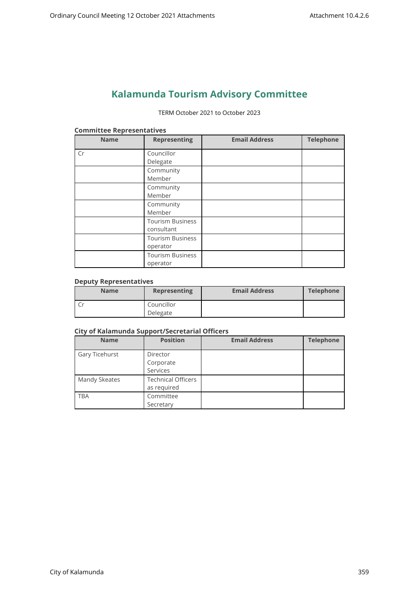# **Kalamunda Tourism Advisory Committee**

#### TERM October 2021 to October 2023

| <b>Name</b> | <b>Representing</b>     | <b>Email Address</b> | <b>Telephone</b> |
|-------------|-------------------------|----------------------|------------------|
| Cr          | Councillor              |                      |                  |
|             | Delegate                |                      |                  |
|             | Community               |                      |                  |
|             | Member                  |                      |                  |
|             | Community               |                      |                  |
|             | Member                  |                      |                  |
|             | Community               |                      |                  |
|             | Member                  |                      |                  |
|             | <b>Tourism Business</b> |                      |                  |
|             | consultant              |                      |                  |
|             | <b>Tourism Business</b> |                      |                  |
|             | operator                |                      |                  |
|             | <b>Tourism Business</b> |                      |                  |
|             | operator                |                      |                  |

#### **Committee Representatives**

# **Deputy Representatives**

| <b>Name</b> | <b>Representing</b> | <b>Email Address</b> | <b>Telephone</b> |
|-------------|---------------------|----------------------|------------------|
|             | Councillor          |                      |                  |
|             | Delegate            |                      |                  |

#### **City of Kalamunda Support/Secretarial Officers**

| <b>Name</b>    | <b>Position</b>           | <b>Email Address</b> | <b>Telephone</b> |
|----------------|---------------------------|----------------------|------------------|
| Gary Ticehurst | Director                  |                      |                  |
|                | Corporate                 |                      |                  |
|                | Services                  |                      |                  |
| Mandy Skeates  | <b>Technical Officers</b> |                      |                  |
|                | as required               |                      |                  |
| <b>TBA</b>     | Committee                 |                      |                  |
|                | Secretary                 |                      |                  |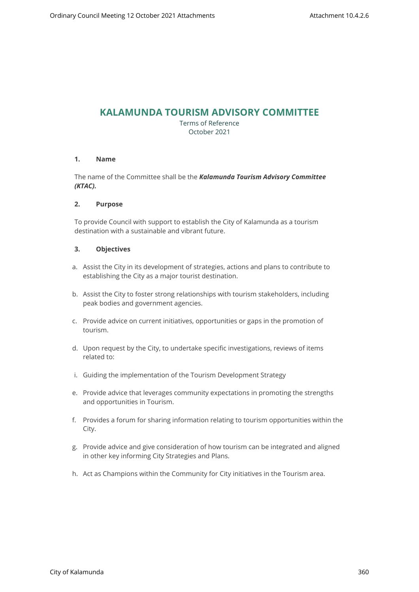# **KALAMUNDA TOURISM ADVISORY COMMITTEE**

Terms of Reference October 2021

#### **1. Name**

The name of the Committee shall be the *Kalamunda Tourism Advisory Committee (KTAC).*

#### **2. Purpose**

To provide Council with support to establish the City of Kalamunda as a tourism destination with a sustainable and vibrant future.

# **3. Objectives**

- a. Assist the City in its development of strategies, actions and plans to contribute to establishing the City as a major tourist destination.
- b. Assist the City to foster strong relationships with tourism stakeholders, including peak bodies and government agencies.
- c. Provide advice on current initiatives, opportunities or gaps in the promotion of tourism.
- d. Upon request by the City, to undertake specific investigations, reviews of items related to:
- i. Guiding the implementation of the Tourism Development Strategy
- e. Provide advice that leverages community expectations in promoting the strengths and opportunities in Tourism.
- f. Provides a forum for sharing information relating to tourism opportunities within the City.
- g. Provide advice and give consideration of how tourism can be integrated and aligned in other key informing City Strategies and Plans.
- h. Act as Champions within the Community for City initiatives in the Tourism area.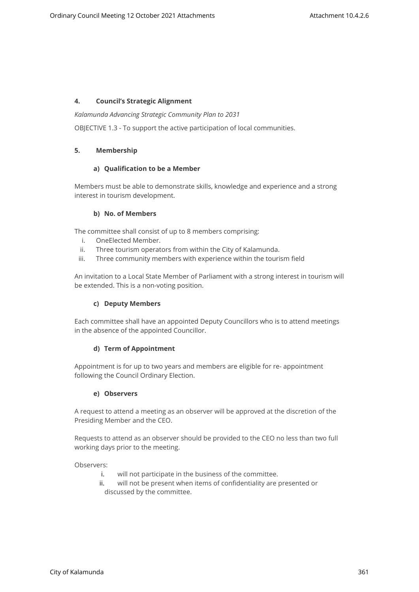# **4. Council's Strategic Alignment**

*Kalamunda Advancing Strategic Community Plan to 2031*

OBJECTIVE 1.3 - To support the active participation of local communities.

#### **5. Membership**

#### **a) Qualification to be a Member**

Members must be able to demonstrate skills, knowledge and experience and a strong interest in tourism development.

#### **b) No. of Members**

The committee shall consist of up to 8 members comprising:

- i. OneElected Member.
- ii. Three tourism operators from within the City of Kalamunda.
- iii. Three community members with experience within the tourism field

An invitation to a Local State Member of Parliament with a strong interest in tourism will be extended. This is a non-voting position.

#### **c) Deputy Members**

Each committee shall have an appointed Deputy Councillors who is to attend meetings in the absence of the appointed Councillor.

#### **d) Term of Appointment**

Appointment is for up to two years and members are eligible for re- appointment following the Council Ordinary Election.

#### **e) Observers**

A request to attend a meeting as an observer will be approved at the discretion of the Presiding Member and the CEO.

Requests to attend as an observer should be provided to the CEO no less than two full working days prior to the meeting.

Observers:

- i. will not participate in the business of the committee.
- ii. will not be present when items of confidentiality are presented or discussed by the committee.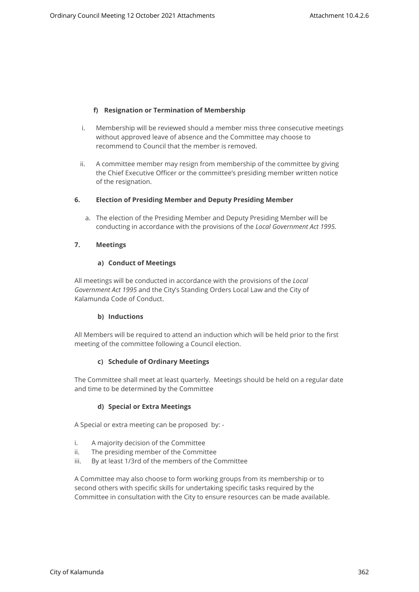# **f) Resignation or Termination of Membership**

- i. Membership will be reviewed should a member miss three consecutive meetings without approved leave of absence and the Committee may choose to recommend to Council that the member is removed.
- ii. A committee member may resign from membership of the committee by giving the Chief Executive Officer or the committee's presiding member written notice of the resignation.

#### **6. Election of Presiding Member and Deputy Presiding Member**

a. The election of the Presiding Member and Deputy Presiding Member will be conducting in accordance with the provisions of the *Local Government Act 1995.*

#### **7. Meetings**

#### **a) Conduct of Meetings**

All meetings will be conducted in accordance with the provisions of the *Local Government Act 1995* and the City's Standing Orders Local Law and the City of Kalamunda Code of Conduct.

#### **b) Inductions**

All Members will be required to attend an induction which will be held prior to the first meeting of the committee following a Council election.

#### **c) Schedule of Ordinary Meetings**

The Committee shall meet at least quarterly. Meetings should be held on a regular date and time to be determined by the Committee

#### **d) Special or Extra Meetings**

A Special or extra meeting can be proposed by: -

- i. A majority decision of the Committee
- ii. The presiding member of the Committee
- iii. By at least 1/3rd of the members of the Committee

A Committee may also choose to form working groups from its membership or to second others with specific skills for undertaking specific tasks required by the Committee in consultation with the City to ensure resources can be made available.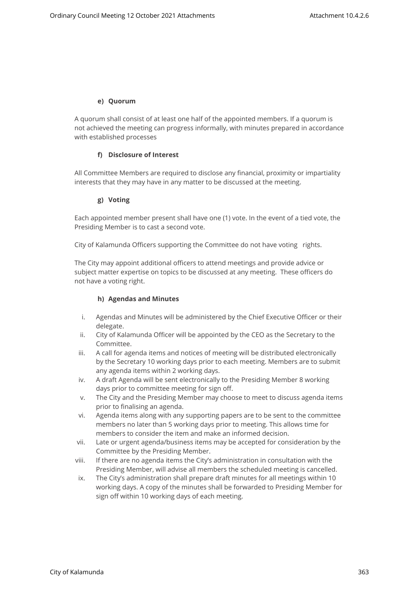#### **e) Quorum**

A quorum shall consist of at least one half of the appointed members. If a quorum is not achieved the meeting can progress informally, with minutes prepared in accordance with established processes

# **f) Disclosure of Interest**

All Committee Members are required to disclose any financial, proximity or impartiality interests that they may have in any matter to be discussed at the meeting.

# **g) Voting**

Each appointed member present shall have one (1) vote. In the event of a tied vote, the Presiding Member is to cast a second vote.

City of Kalamunda Officers supporting the Committee do not have voting rights.

The City may appoint additional officers to attend meetings and provide advice or subject matter expertise on topics to be discussed at any meeting. These officers do not have a voting right.

#### **h) Agendas and Minutes**

- i. Agendas and Minutes will be administered by the Chief Executive Officer or their delegate.
- ii. City of Kalamunda Officer will be appointed by the CEO as the Secretary to the Committee.
- iii. A call for agenda items and notices of meeting will be distributed electronically by the Secretary 10 working days prior to each meeting. Members are to submit any agenda items within 2 working days.
- iv. A draft Agenda will be sent electronically to the Presiding Member 8 working days prior to committee meeting for sign off.
- v. The City and the Presiding Member may choose to meet to discuss agenda items prior to finalising an agenda.
- vi. Agenda items along with any supporting papers are to be sent to the committee members no later than 5 working days prior to meeting. This allows time for members to consider the item and make an informed decision.
- vii. Late or urgent agenda/business items may be accepted for consideration by the Committee by the Presiding Member.
- viii. If there are no agenda items the City's administration in consultation with the Presiding Member, will advise all members the scheduled meeting is cancelled.
- ix. The City's administration shall prepare draft minutes for all meetings within 10 working days. A copy of the minutes shall be forwarded to Presiding Member for sign off within 10 working days of each meeting.